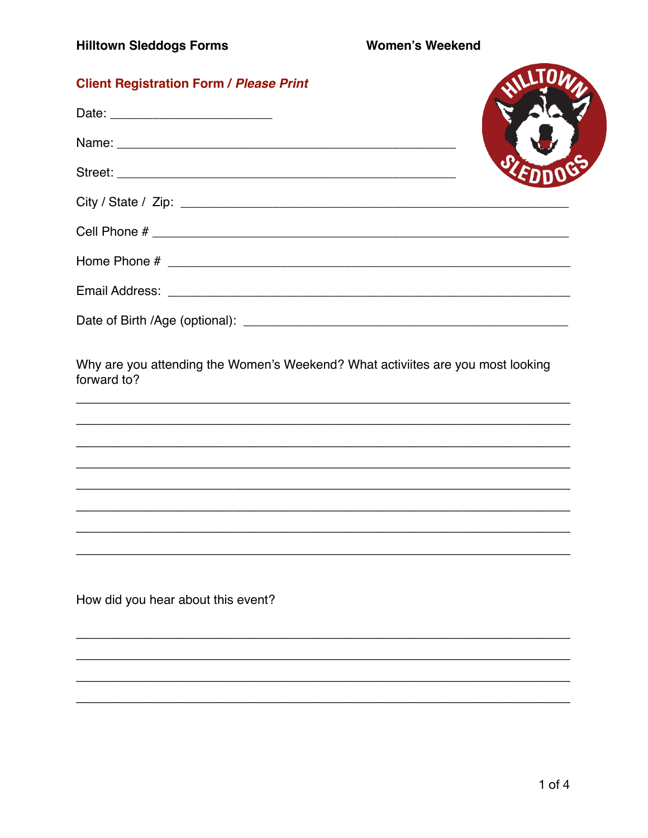| <b>Client Registration Form / Please Print</b>                                                                                                                                                                                |  |
|-------------------------------------------------------------------------------------------------------------------------------------------------------------------------------------------------------------------------------|--|
|                                                                                                                                                                                                                               |  |
| Name: Name: Name: Name: Name: Name: Name: Name: Name: Name: Name: Name: Name: Name: Name: Name: Name: Name: Name: Name: Name: Name: Name: Name: Name: Name: Name: Name: Name: Name: Name: Name: Name: Name: Name: Name: Name: |  |
|                                                                                                                                                                                                                               |  |
|                                                                                                                                                                                                                               |  |
|                                                                                                                                                                                                                               |  |
|                                                                                                                                                                                                                               |  |
|                                                                                                                                                                                                                               |  |
|                                                                                                                                                                                                                               |  |
| Why are you attending the Women's Weekend? What activiites are you most looking<br>forward to?                                                                                                                                |  |
|                                                                                                                                                                                                                               |  |
|                                                                                                                                                                                                                               |  |
|                                                                                                                                                                                                                               |  |
|                                                                                                                                                                                                                               |  |

How did you hear about this event?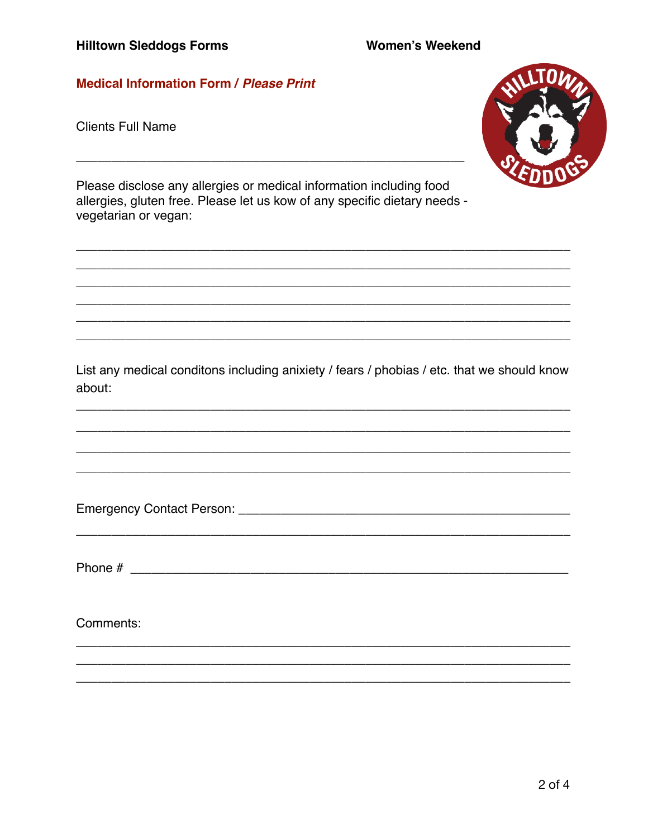# **Medical Information Form / Please Print**

**Clients Full Name** 



Please disclose any allergies or medical information including food allergies, gluten free. Please let us kow of any specific dietary needs vegetarian or vegan:

List any medical conditons including anixiety / fears / phobias / etc. that we should know about:

Comments: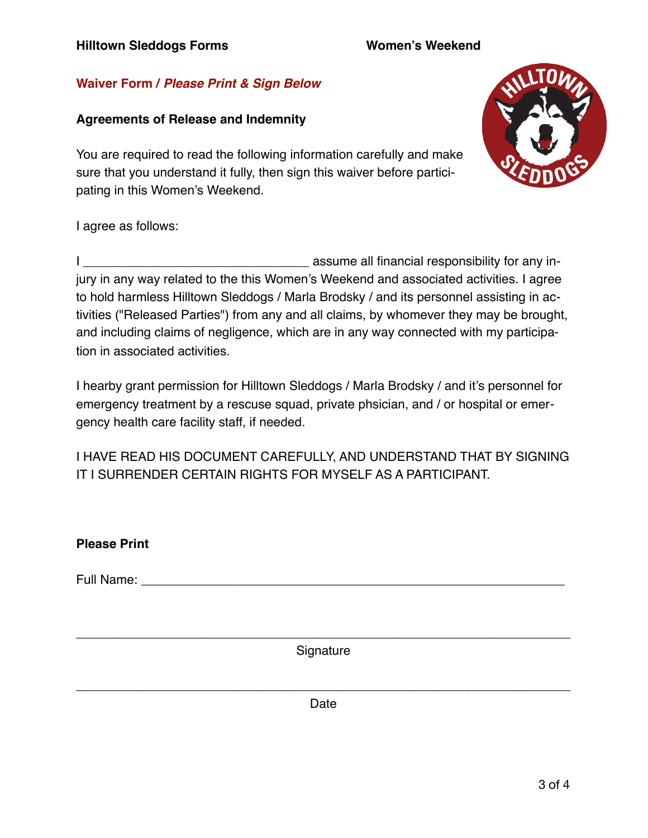## **Waiver Form /** *Please Print & Sign Below*

#### **Agreements of Release and Indemnity**

You are required to read the following information carefully and make sure that you understand it fully, then sign this waiver before participating in this Women's Weekend.



I agree as follows:

I \_\_\_\_\_\_\_\_\_\_\_\_\_\_\_\_\_\_\_\_\_\_\_\_\_\_\_\_\_\_\_\_ assume all financial responsibility for any injury in any way related to the this Women's Weekend and associated activities. I agree to hold harmless Hilltown Sleddogs / Marla Brodsky / and its personnel assisting in activities ("Released Parties") from any and all claims, by whomever they may be brought, and including claims of negligence, which are in any way connected with my participation in associated activities.

I hearby grant permission for Hilltown Sleddogs / Marla Brodsky / and it's personnel for emergency treatment by a rescuse squad, private phsician, and / or hospital or emergency health care facility staff, if needed.

I HAVE READ HIS DOCUMENT CAREFULLY, AND UNDERSTAND THAT BY SIGNING IT I SURRENDER CERTAIN RIGHTS FOR MYSELF AS A PARTICIPANT.

| <b>Please Print</b>                                                                                                                                                                                                            |           |  |
|--------------------------------------------------------------------------------------------------------------------------------------------------------------------------------------------------------------------------------|-----------|--|
| Full Name: Name: Name and South Allen Manual Accounts and Allen Manual Accounts and Accounts and Accounts and Accounts and Accounts and Accounts and Accounts and Accounts and Accounts and Accounts and Accounts and Accounts |           |  |
|                                                                                                                                                                                                                                |           |  |
|                                                                                                                                                                                                                                |           |  |
|                                                                                                                                                                                                                                | Signature |  |

\_\_\_\_\_\_\_\_\_\_\_\_\_\_\_\_\_\_\_\_\_\_\_\_\_\_\_\_\_\_\_\_\_\_\_\_\_\_\_\_\_\_\_\_\_\_\_\_\_\_\_\_\_\_\_\_\_\_\_\_\_\_\_\_\_\_\_\_\_\_ Date